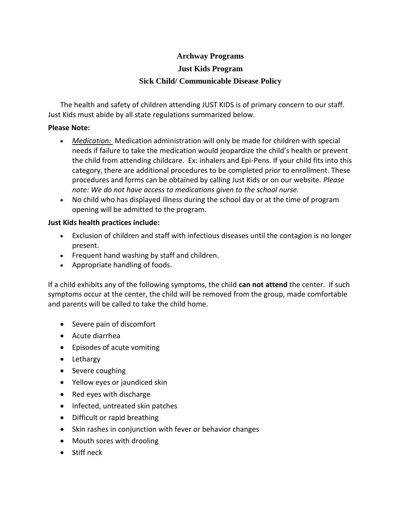## **Archway Programs**

#### **Just Kids Program**

## **Sick Child/ Communicable Disease Policy**

The health and safety of children attending JUST KIDS is of primary concern to our staff. Just Kids must abide by all state regulations summarized below.

#### **Please Note:**

- *Medication:* Medication administration will only be made for children with special needs if failure to take the medication would jeopardize the child's health or prevent the child from attending childcare. Ex: inhalers and Epi-Pens. If your child fits into this category, there are additional procedures to be completed prior to enrollment. These procedures and forms can be obtained by calling Just Kids or on our website. *Please note: We do not have access to medications given to the school nurse.*
- No child who has displayed illness during the school day or at the time of program opening will be admitted to the program.

#### **Just Kids health practices include:**

- Exclusion of children and staff with infectious diseases until the contagion is no longer present.
- Frequent hand washing by staff and children.
- Appropriate handling of foods.

If a child exhibits any of the following symptoms, the child **can not attend** the center. If such symptoms occur at the center, the child will be removed from the group, made comfortable and parents will be called to take the child home.

- Severe pain of discomfort
- Acute diarrhea
- Episodes of acute vomiting
- Lethargy
- Severe coughing
- Yellow eyes or jaundiced skin
- Red eyes with discharge
- Infected, untreated skin patches
- Difficult or rapid breathing
- Skin rashes in conjunction with fever or behavior changes
- Mouth sores with drooling
- Stiff neck